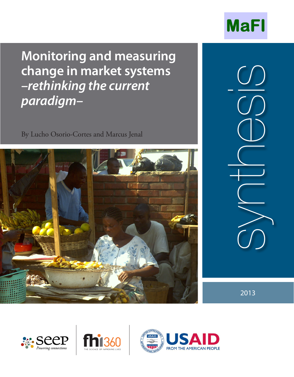

**Monitoring and measuring change in market systems –rethinking the current paradigm–**

By Lucho Osorio-Cortes and Marcus Jenal



synthesis

2013





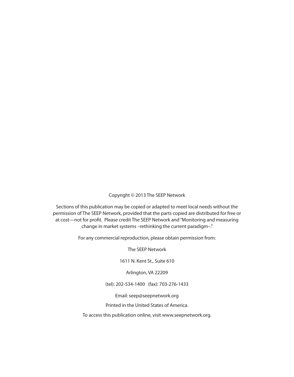Copyright © 2013 The SEEP Network

Sections of this publication may be copied or adapted to meet local needs without the permission of The SEEP Network, provided that the parts copied are distributed for free or at cost—not for profit. Please credit The SEEP Network and "Monitoring and measuring change in market systems –rethinking the current paradigm–."

For any commercial reproduction, please obtain permission from:

The SEEP Network

1611 N. Kent St., Suite 610

Arlington, VA 22209

(tel): 202-534-1400 (fax): 703-276-1433

Email: seep@seepnetwork.org

Printed in the United States of America.

To access this publication online, visit www.seepnetwork.org.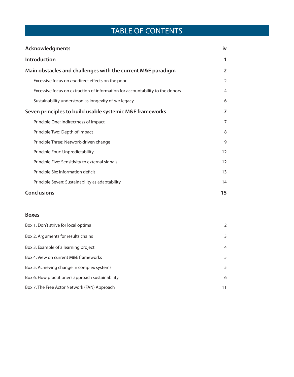# TABLE OF CONTENTS

| <b>Acknowledgments</b>                                                        | iv             |
|-------------------------------------------------------------------------------|----------------|
| Introduction                                                                  | 1              |
| Main obstacles and challenges with the current M&E paradigm                   | $\overline{2}$ |
| Excessive focus on our direct effects on the poor                             | $\overline{2}$ |
| Excessive focus on extraction of information for accountability to the donors | 4              |
| Sustainability understood as longevity of our legacy                          | 6              |
| Seven principles to build usable systemic M&E frameworks                      | 7              |
| Principle One: Indirectness of impact                                         | 7              |
| Principle Two: Depth of impact                                                | 8              |
| Principle Three: Network-driven change                                        | 9              |
| Principle Four: Unpredictability                                              | 12             |
| Principle Five: Sensitivity to external signals                               | 12             |
| Principle Six: Information deficit                                            | 13             |
| Principle Seven: Sustainability as adaptability                               | 14             |
| <b>Conclusions</b>                                                            | 15             |
|                                                                               |                |
| <b>Boxes</b>                                                                  |                |
| Box 1. Don't strive for local optima                                          | 2              |
| Box 2. Arguments for results chains                                           | 3              |
| Box 3. Example of a learning project                                          | 4              |

Box 4. View on current M&E frameworks 5

Box 5. Achieving change in complex systems 5

Box 6. How practitioners approach sustainability 6 6

Box 7. The Free Actor Network (FAN) Approach 11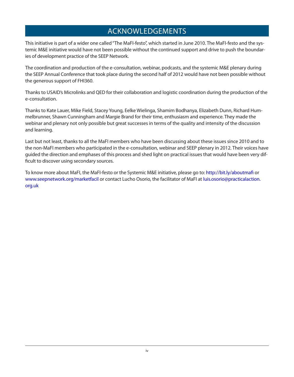# ACKNOWLEDGEMENTS

This initiative is part of a wider one called "The MaFI-festo", which started in June 2010. The MaFI-festo and the systemic M&E initiative would have not been possible without the continued support and drive to push the boundaries of development practice of the SEEP Network.

The coordination and production of the e-consultation, webinar, podcasts, and the systemic M&E plenary during the SEEP Annual Conference that took place during the second half of 2012 would have not been possible without the generous support of FHI360.

Thanks to USAID's Microlinks and QED for their collaboration and logistic coordination during the production of the e-consultation.

Thanks to Kate Lauer, Mike Field, Stacey Young, Eelke Wielinga, Shamim Bodhanya, Elizabeth Dunn, Richard Hummelbrunner, Shawn Cunningham and Margie Brand for their time, enthusiasm and experience. They made the webinar and plenary not only possible but great successes in terms of the quality and intensity of the discussion and learning.

Last but not least, thanks to all the MaFI members who have been discussing about these issues since 2010 and to the non-MaFI members who participated in the e-consultation, webinar and SEEP plenary in 2012. Their voices have guided the direction and emphases of this process and shed light on practical issues that would have been very difficult to discover using secondary sources.

To know more about MaFI, the MaFI-festo or the Systemic M&E initiative, please go to: http://bit.ly/aboutmafi or www.seepnetwork.org/marketfacil or contact Lucho Osorio, the facilitator of MaFI at luis.osorio@practicalaction. org.uk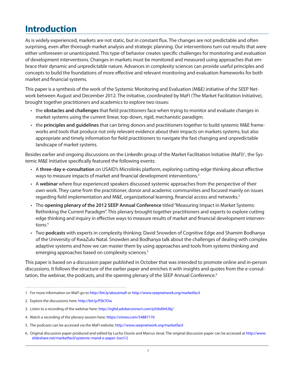# **Introduction**

As is widely experienced, markets are not static, but in constant flux. The changes are not predictable and often surprising, even after thorough market analysis and strategic planning. Our interventions turn out results that were either unforeseen or unanticipated. This type of behavior creates specific challenges for monitoring and evaluation of development interventions. Changes in markets must be monitored and measured using approaches that embrace their dynamic and unpredictable nature. Advances in complexity sciences can provide useful principles and concepts to build the foundations of more effective and relevant monitoring and evaluation frameworks for both market and financial systems.

This paper is a synthesis of the work of the Systemic Monitoring and Evaluation (M&E) initiative of the SEEP Network between August and December 2012. The initiative, coordinated by MaFI (The Market Facilitation Initiative), brought together practitioners and academics to explore two issues:

- • the **obstacles and challenges** that field practitioners face when trying to monitor and evaluate changes in market systems using the current linear, top-down, rigid, mechanistic paradigm.
- • the **principles and guidelines** that can bring donors and practitioners together to build systemic M&E frameworks and tools that produce not only relevant evidence about their impacts on markets systems, but also appropriate and timely information for field practitioners to navigate the fast changing and unpredictable landscape of market systems.

Besides earlier and ongoing discussions on the LinkedIn group of the Market Facilitation Initiative (MaFI)<sup>1</sup>, the Systemic M&E Initiative specifically featured the following events:

- • A **three-day e-consultation** on USAID's Microlinks platform, exploring cutting-edge thinking about effective ways to measure impacts of market and financial development interventions.<sup>2</sup>
- • A **webinar** where four experienced speakers discussed systemic approaches from the perspective of their own work. They came from the practitioner, donor and academic communities and focused mainly on issues regarding field implementation and M&E, organizational learning, financial access and networks.<sup>3</sup>
- • The **opening plenary of the 2012 SEEP Annual Conference** titled "Measuring Impact in Market Systems: Rethinking the Current Paradigm". This plenary brought together practitioners and experts to explore cutting edge thinking and inquiry in effective ways to measure results of market and financial development interventions.<sup>4</sup>
- • Two **podcasts** with experts in complexity thinking: David Snowden of Cognitive Edge and Shamim Bodhanya of the University of KwaZulu Natal. Snowden and Bodhanya talk about the challenges of dealing with complex adaptive systems and how we can master them by using approaches and tools from systems thinking and emerging approaches based on complexity sciences.<sup>5</sup>

This paper is based on a discussion paper published in October that was intended to promote online and in-person discussions. It follows the structure of the earlier paper and enriches it with insights and quotes from the e-consultation, the webinar, the podcasts, and the opening plenary of the SEEP Annual Conference.<sup>6</sup>

- 4. Watch a recording of the plenary session here: https://vimeo.com/54887176
- 5. The podcasts can be accessed via the MaFI website: http://www.seepnetwork.org/marketfacil
- 6. Original discussion paper produced and edited by Lucho Osorio and Marcus Jenal. The original discussion paper can be accessed at http://www. slideshare.net/marketfacil/systemic-mand-e-paper-3oct12

<sup>1.</sup> For more information on MaFI go to http://bit.ly/aboutmafi or http://www.seepnetwork.org/marketfacil

<sup>2.</sup> Explore the discussions here: http://bit.ly/PSk7Ow

<sup>3.</sup> Listen to a recording of the webinar here: http://irgltd.adobeconnect.com/p5t6d9r63kj/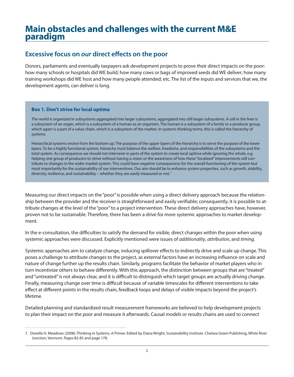# **Main obstacles and challenges with the current M&E paradigm**

## **Excessive focus on our direct effects on the poor**

Donors, parliaments and eventually taxpayers ask development projects to prove their direct impacts on the poor: how many schools or hospitals did WE build; how many cows or bags of improved seeds did WE deliver; how many training workshops did WE host and how many people attended; etc. The list of the inputs and services that we, the development agents, can deliver is long.

### **Box 1. Don't strive for local optima**

The world is organized in subsystems aggregated into larger subsystems, aggregated into still larger subsystems. A cell in the liver is a subsystem of an organ, which is a subsystem of a human as an organism. The human is a subsystem of a family or a producer group, which again is a part of a value chain, which is a subsystem of the market. In systems thinking terms, this is called the hierarchy of systems.

Hierarchical systems evolve from the bottom up. The purpose of the upper layers of the hierarchy is to serve the purpose of the lower layers. To be a highly functional system, hierarchy must balance the welfare, freedoms, and responsibilities of the subsystems and the total system. As consequence we should not intervene in parts of the system to create local optima while ignoring the whole, e.g. helping one group of producers to strive without having a vision or the awareness of how these "localized" improvements will contribute to changes in the wider market system. This could have negative consequences for the overall functioning of the system but most importantly for the sustainability of our interventions. Our aim should be to enhance system properties, such as growth, stability, diversity, resilience, and sustainability – whether they are easily measured or not.<sup>7</sup>

Measuring our direct impacts on the "poor" is possible when using a direct delivery approach because the relationship between the provider and the receiver is straightforward and easily verifiable; consequently, it is possible to attribute changes at the level of the "poor" to a project intervention. These direct delivery approaches have, however, proven not to be sustainable. Therefore, there has been a drive for more systemic approaches to market development.

In the e-consultation, the difficulties to satisfy the demand for visible, direct changes within the poor when using systemic approaches were discussed. Explicitly mentioned were issues of additionality, attribution, and timing.

Systemic approaches aim to catalyze change, inducing spillover effects to indirectly drive and scale up change. This poses a challenge to attribute changes to the project, as external factors have an increasing influence on scale and nature of change further up the results chain. Similarly, programs facilitate the behavior of market players who in turn incentivize others to behave differently. With this approach, the distinction between groups that are "treated" and "untreated" is not always clear, and it is difficult to distinguish which target groups are actually driving change. Finally, measuring change over time is difficult because of variable timescales for different interventions to take effect at different points in the results chain, feedback loops and delays of visible impacts beyond the project's lifetime.

Detailed planning and standardized result measurement frameworks are believed to help development projects to plan their impact on the poor and measure it afterwards. Causal models or results chains are used to connect

<sup>7.</sup> Donella H. Meadows (2008): Thinking in Systems. A Primer. Edited by Diana Wright, Sustainability Institute. Chelsea Green Publishing, White River Junction, Vermont. Pages 82-85 and page 178.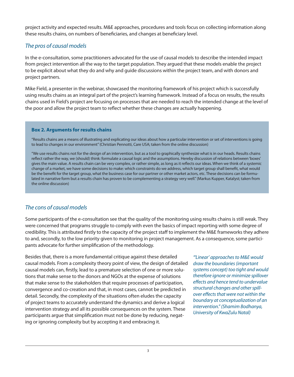project activity and expected results. M&E approaches, procedures and tools focus on collecting information along these results chains, on numbers of beneficiaries, and changes at beneficiary level.

## The pros of causal models

In the e-consultation, some practitioners advocated for the use of causal models to describe the intended impact from project intervention all the way to the target population. They argued that these models enable the project to be explicit about what they do and why and guide discussions within the project team, and with donors and project partners.

Mike Field, a presenter in the webinar, showcased the monitoring framework of his project which is successfully using results chains as an integral part of the project's learning framework. Instead of a focus on results, the results chains used in Field's project are focusing on processes that are needed to reach the intended change at the level of the poor and allow the project team to reflect whether these changes are actually happening.

## **Box 2. Arguments for results chains**

"Results chains are a means of illustrating and explicating our ideas about how a particular intervention or set of interventions is going to lead to changes in our environment" (Christian Pennotti, Care USA; taken from the online discussion)

"We use results chains not for the design of an intervention, but as a tool to graphically synthesize what is in our heads. Results chains reflect rather the way, we (should) think: formulate a causal logic and the assumptions. Hereby discussion of relations between 'boxes' gives the main value. A results chain can be very complex, or rather simple, as long as it reflects our ideas. When we think of a systemic change of a market, we have some decisions to make: which constraints do we address, which target group shall benefit, what would be the benefit for the target group, what the business case for our partner or other market actors, etc. These decisions can be formulated in narrative form but a results chain has proven to be complementing a strategy very well." (Markus Kupper, Katalyst; taken from the online discussion)

## The cons of causal models

Some participants of the e-consultation see that the quality of the monitoring using results chains is still weak. They were concerned that programs struggle to comply with even the basics of impact reporting with some degree of credibility. This is attributed firstly to the capacity of the project staff to implement the M&E frameworks they adhere to and, secondly, to the low priority given to monitoring in project management. As a consequence, some participants advocate for further simplification of the methodology.

Besides that, there is a more fundamental critique against these detailed causal models. From a complexity theory point of view, the design of detailed causal models can, firstly, lead to a premature selection of one or more solutions that make sense to the donors and NGOs at the expense of solutions that make sense to the stakeholders that require processes of participation, convergence and co-creation and that, in most cases, cannot be predicted in detail. Secondly, the complexity of the situations often eludes the capacity of project teams to accurately understand the dynamics and derive a logical intervention strategy and all its possible consequences on the system. These participants argue that simplification must not be done by reducing, negating or ignoring complexity but by accepting it and embracing it.

"'Linear' approaches to M&E would draw the boundaries (important systems concept) too tight and would therefore ignore or minimize spillover effects and hence tend to undervalue structural changes and other spillover effects that were not within the boundary at conceptualization of an intervention." (Shamim Bodhanya, University of KwaZulu Natal)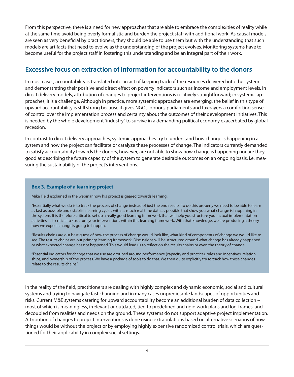From this perspective, there is a need for new approaches that are able to embrace the complexities of reality while at the same time avoid being overly formalistic and burden the project staff with additional work. As causal models are seen as very beneficial by practitioners, they should be able to use them but with the understanding that such models are artifacts that need to evolve as the understanding of the project evolves. Monitoring systems have to become useful for the project staff in fostering this understanding and be an integral part of their work.

## **Excessive focus on extraction of information for accountability to the donors**

In most cases, accountability is translated into an act of keeping track of the resources delivered into the system and demonstrating their positive and direct effect on poverty indicators such as income and employment levels. In direct delivery models, attribution of changes to project interventions is relatively straightforward; in systemic approaches, it is a challenge. Although in practice, more systemic approaches are emerging, the belief in this type of upward accountability is still strong because it gives NGOs, donors, parliaments and taxpayers a comforting sense of control over the implementation process and certainty about the outcomes of their development initiatives. This is needed by the whole development "industry" to survive in a demanding political economy exacerbated by global recession.

In contrast to direct delivery approaches, systemic approaches try to understand how change is happening in a system and how the project can facilitate or catalyze these processes of change. The indicators currently demanded to satisfy accountability towards the donors, however, are not able to show how change is happening nor are they good at describing the future capacity of the system to generate desirable outcomes on an ongoing basis, i.e. measuring the sustainability of the project's interventions.

### **Box 3. Example of a learning project**

Mike Field explained in the webinar how his project is geared towards learning:

"Essentially what we do is to track the process of change instead of just the end results. To do this properly we need to be able to learn as fast as possible and establish learning cycles with as much real time data as possible that show you what change is happening in the system. It is therefore critical to set up a really good learning framework that will help you structure your actual implementation activities. It is critical to structure your interventions within this learning framework. With that knowledge, we are producing a theory how we expect change is going to happen.

"Results chains are our best guess of how the process of change would look like, what kind of components of change we would like to see. The results chains are our primary learning framework. Discussions will be structured around what change has already happened or what expected change has not happened. This would lead us to reflect on the results chains or even the theory of change.

"Essential indicators for change that we use are grouped around performance (capacity and practice), rules and incentives, relationships, and ownership of the process. We have a package of tools to do that. We then quite explicitly try to track how these changes relate to the results chains."

In the reality of the field, practitioners are dealing with highly complex and dynamic economic, social and cultural systems and trying to navigate fast changing and in many cases unpredictable landscapes of opportunities and risks. Current M&E systems catering for upward accountability become an additional burden of data collection – most of which is meaningless, irrelevant or outdated, tied to predefined and rigid work plans and log-frames, and decoupled from realities and needs on the ground. These systems do not support adaptive project implementation. Attribution of changes to project interventions is done using extrapolations based on alternative scenarios of how things would be without the project or by employing highly expensive randomized control trials, which are questioned for their applicability in complex social settings.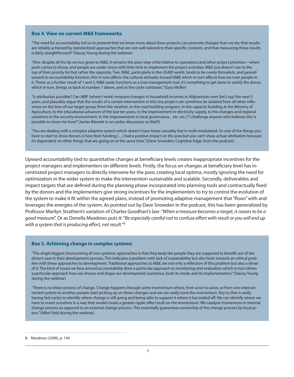#### **Box 4. View on current M&E frameworks**

"The need for accountability led us to pretend that we know more about [how projects can promote change] than we do; that results are reliably achieved by standardized approaches that are not well tailored to their specific contexts; and that measuring these results is fairly straightforward" (Stacey Young during the webinar)

"One: despite all the lip service given to M&E, it remains the poor step-child relative to operations and other project priorities—when push comes to shove, and people are under stress with little time to implement the project activities, M&E just doesn't rise to the top of their priority list but rather the opposite. Two: M&E, particularly in the USAID world, tends to be overly formalistic and geared toward its accountability function; this in turn affects the cultural attitudes toward M&E which in turn affects how we train people in it. Three: as a further result of 1 and 2, M&E rarely functions as a true management tool, it's something to get done to satisfy the donor, which in turn, brings us back to number 1 above, and so the cycle continues." (Gary Woller)

"Is attribution possible? Can ABIF (where I work) measure changes in household incomes in Afghanistan over (let's say) the next 5 years, and plausibly argue that the results of a certain intervention in this tiny project can somehow be isolated from all other influences on the lives of our target group (from the weather, to the road building program, to the capacity building at the Ministry of Agriculture, to the educational advances of the last ten years, to the improvement in electricity supply, to the changes and regional variations in the security environment, to the improvements in local governance... etc. etc.)? I challenge anyone who believes this is possible to show me how!" (James Blewett in an earlier discussion on MaFI)

"You are dealing with a complex adaptive system which doesn't have linear causality but is multi-modulated. So one of the things you have to start to show donors is how their funding […] had a positive impact on the area but you can't show actual attribution because it's dependent on other things that are going on at the same time." (Dave Snowden, Cognitive Edge, from the podcast).

Upward accountability tied to quantitative changes at beneficiary levels creates inappropriate incentives for the project managers and implementers on different levels. Firstly, the focus on changes at beneficiary level has incentivized project managers to directly intervene for the poor, creating local optima, mostly ignoring the need for optimization in the wider system to make the intervention sustainable and scalable. Secondly, deliverables and impact targets that are defined during the planning phase incorporated into planning tools and contractually fixed by the donors and the implementers give strong incentives for the implementers to try to control the evolution of the system to make it fit within the agreed plans, instead of promoting adaptive management that "flows" with and leverages the energies of the system. As pointed out by Dave Snowden in the podcast, this has been generalized by Professor Marilyn Strathern's variation of Charles Goodhart's law: "When a measure becomes a target, it ceases to be a good measure". Or as Donella Meadows puts it: "Be especially careful not to confuse effort with result or you will end up with a system that is producing effort, not result." 8

#### **Box 5. Achieving change in complex systems**

"The single biggest shortcoming of non-systemic approaches is that they keep the people they are supposed to benefit out of the driver's seat in their development process. This indicates a problem with lack of sustainability but also hints towards an ethical problem with these approaches to development. Traditional approaches to M&E are not only a reflection of this problem but also a driver of it. The kind of issues we face around accountability drive a particular approach to monitoring and evaluation which in turn drives a particular approach how we choose and shape our development assistance, both its mode and its implementation." (Stacey Young during the webinar)

"There is no linear process of change. Change happens through some momentum where, from actor to actor, or from one interconnected system to another, people start picking up on those changes and we can really track the momentum. Key to that is really having fast cycles to identify where change is still going and being able to support it where it has trailed off. We can identify where we have to insert ourselves in a way that would create a greater ripple effect built on the momentum. We catalyze momentum in internal change process as opposed to an external change process. This essentially guarantees ownership of the change process by local actors." (Mike Field during the webinar)

8. Meadows (2008), p. 140.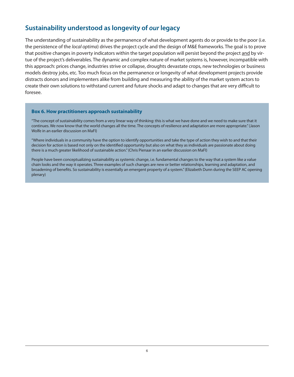# **Sustainability understood as longevity of our legacy**

The understanding of sustainability as the permanence of what development agents do or provide to the poor (i.e. the persistence of the *local optima*) drives the project cycle and the design of M&E frameworks. The goal is to prove that positive changes in poverty indicators within the target population will persist beyond the project and by virtue of the project's deliverables. The dynamic and complex nature of market systems is, however, incompatible with this approach: prices change, industries strive or collapse, droughts devastate crops, new technologies or business models destroy jobs, etc. Too much focus on the permanence or longevity of what development projects provide distracts donors and implementers alike from building and measuring the ability of the market system actors to create their own solutions to withstand current and future shocks and adapt to changes that are very difficult to foresee.

#### **Box 6. How practitioners approach sustainability**

"The concept of sustainability comes from a very linear way of thinking: this is what we have done and we need to make sure that it continues. We now know that the world changes all the time. The concepts of resilience and adaptation are more appropriate." (Jason Wolfe in an earlier discussion on MaFI)

"Where individuals in a community have the option to identify opportunities and take the type of action they wish to and that their decision for action is based not only on the identified opportunity but also on what they as individuals are passionate about doing there is a much greater likelihood of sustainable action." (Chris Pienaar in an earlier discussion on MaFI)

People have been conceptualizing sustainability as systemic change, i.e. fundamental changes to the way that a system like a value chain looks and the way it operates. Three examples of such changes are new or better relationships, learning and adaptation, and broadening of benefits. So sustainability is essentially an emergent property of a system." (Elizabeth Dunn during the SEEP AC opening plenary)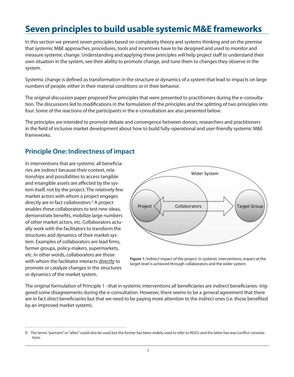# **Seven principles to build usable systemic M&E frameworks**

In this section we present seven principles based on complexity theory and systems thinking and on the premise that systemic M&E approaches, procedures, tools and incentives have to be designed and used to monitor and measure systemic change. Understanding and applying these principles will help project staff to understand their own situation in the system, see their ability to promote change, and tune them to changes they observe in the system.

Systemic change is defined as transformation in the structure or dynamics of a system that lead to impacts on large numbers of people, either in their material conditions or in their behavior.

The original discussion paper proposed five principles that were presented to practitioners during the e-consultation. The discussions led to modifications in the formulation of the principles and the splitting of two principles into four. Some of the reactions of the participants in the e-consultation are also presented below.

The principles are intended to promote debate and convergence between donors, researchers and practitioners in the field of inclusive market development about how to build fully-operational and user-friendly systemic M&E frameworks.

# **Principle One: Indirectness of impact**

In interventions that are systemic all beneficiaries are indirect because their context, relationships and possibilities to access tangible and intangible assets are affected by the system itself, not by the project. The relatively few market actors with whom a project engages directly are in fact collaborators. 9 A project enables these collaborators to test new ideas, demonstrate benefits, mobilize large numbers of other market actors, etc. Collaborators actually work with the facilitators to transform the structures and dynamics of their market system. Examples of collaborators are lead firms, farmer groups, policy-makers, supermarkets, etc. In other words, collaborators are those with whom the facilitator interacts directly to promote or catalyze changes in the structures or dynamics of the market system.



**Figure 1:** Indirect impact of the project. In systemic interventions, impact at the target level is achieved through collaborators and the wider system.

The original formulation of Principle 1 –that in systemic interventions all beneficiaries are indirect beneficiaries- triggered some disagreements during the e-consultation. However, there seems to be a general agreement that there are in fact direct beneficiaries but that we need to be paying more attention to the indirect ones (i.e. those benefited by an improved market system).

<sup>9.</sup> The terms "partners" or "allies" could also be used but the former has been widely used to refer to NGOs and the latter has war/conflict connotations.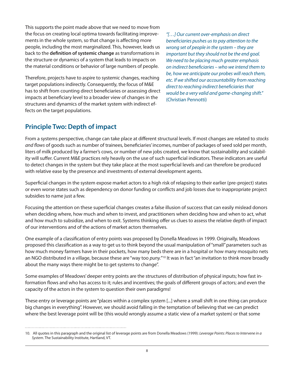This supports the point made above that we need to move from the focus on creating local optima towards facilitating improvements in the whole system, so that change is affecting more people, including the most marginalized. This, however, leads us back to the **definition of systemic change** as transformations in the structure or dynamics of a system that leads to impacts on the material conditions or behavior of large numbers of people.

Therefore, projects have to aspire to systemic changes, reaching target populations indirectly. Consequently, the focus of M&E has to shift from counting direct beneficiaries or assessing direct impacts at beneficiary level to a broader view of changes in the structures and dynamics of the market system with indirect effects on the target populations.

"[…] Our current over-emphasis on direct beneficiaries pushes us to pay attention to the wrong set of people in the system – they are important but they should not be the end goal. We need to be placing much greater emphasis on indirect beneficiaries – who we intend them to be, how we anticipate our probes will reach them, etc. If we shifted our accountability from reaching direct to reaching indirect beneficiaries that would be a very valid and game-changing shift." (Christian Pennotti)

## **Principle Two: Depth of impact**

From a systems perspective, change can take place at different structural levels. If most changes are related to stocks and flows of goods such as number of trainees, beneficiaries' incomes, number of packages of seed sold per month, liters of milk produced by a farmer's cows, or number of new jobs created, we know that sustainability and scalability will suffer. Current M&E practices rely heavily on the use of such superficial indicators. These indicators are useful to detect changes in the system but they take place at the most superficial levels and can therefore be produced with relative ease by the presence and investments of external development agents.

Superficial changes in the system expose market actors to a high risk of relapsing to their earlier (pre-project) states or even worse states such as dependency on donor funding or conflicts and job losses due to inappropriate project subsidies to name just a few.

Focusing the attention on these superficial changes creates a false illusion of success that can easily mislead donors when deciding where, how much and when to invest, and practitioners when deciding how and when to act, what and how much to subsidize, and when to exit. Systems thinking offer us clues to assess the relative depth of impact of our interventions and of the actions of market actors themselves.

One example of a classification of entry points was proposed by Donella Meadows in 1999. Originally, Meadows proposed this classification as a way to get us to think beyond the usual manipulation of "small" parameters such as how much money farmers have in their pockets, how many beds there are in a hospital or how many mosquito nets an NGO distributed in a village, because these are "way too puny."<sup>10</sup> It was in fact "an invitation to think more broadly about the many ways there might be to get systems to change".

Some examples of Meadows' deeper entry points are the structures of distribution of physical inputs; how fast information flows and who has access to it; rules and incentives; the goals of different groups of actors; and even the capacity of the actors in the system to question their own paradigms!

These entry or leverage points are "places within a complex system [...] where a small shift in one thing can produce big changes in everything". However, we should avoid falling in the temptation of believing that we can predict where the best leverage point will be (this would wrongly assume a static view of a market system) or that some

<sup>10.</sup> All quotes in this paragraph and the original list of leverage points are from Donella Meadows (1999): Leverage Points: Places to Intervene in a System. The Sustainability Institute, Hartland, VT.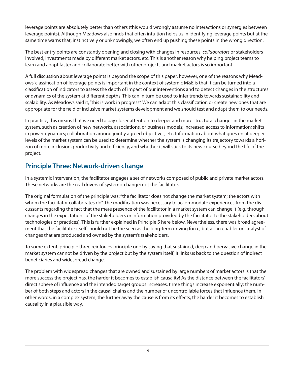leverage points are absolutely better than others (this would wrongly assume no interactions or synergies between leverage points). Although Meadows also finds that often intuition helps us in identifying leverage points but at the same time warns that, instinctively or unknowingly, we often end up pushing these points in the wrong direction.

The best entry points are constantly opening and closing with changes in resources, collaborators or stakeholders involved, investments made by different market actors, etc. This is another reason why helping project teams to learn and adapt faster and collaborate better with other projects and market actors is so important.

A full discussion about leverage points is beyond the scope of this paper, however, one of the reasons why Meadows' classification of leverage points is important in the context of systemic M&E is that it can be turned into a classification of indicators to assess the depth of impact of our interventions and to detect changes in the structures or dynamics of the system at different depths. This can in turn be used to infer trends towards sustainability and scalability. As Meadows said it, "this is work in progress". We can adapt this classification or create new ones that are appropriate for the field of inclusive market systems development and we should test and adapt them to our needs.

In practice, this means that we need to pay closer attention to deeper and more structural changes in the market system, such as creation of new networks, associations, or business models; increased access to information; shifts in power dynamics; collaboration around jointly agreed objectives, etc. Information about what goes on at deeper levels of the market system can be used to determine whether the system is changing its trajectory towards a horizon of more inclusion, productivity and efficiency, and whether it will stick to its new course beyond the life of the project.

# **Principle Three: Network-driven change**

In a systemic intervention, the facilitator engages a set of networks composed of public and private market actors. These networks are the real drivers of systemic change; not the facilitator.

The original formulation of the principle was: "the facilitator does not change the market system; the actors with whom the facilitator collaborates do". The modification was necessary to accommodate experiences from the discussants regarding the fact that the mere presence of the facilitator in a market system can change it (e.g. through changes in the expectations of the stakeholders or information provided by the facilitator to the stakeholders about technologies or practices). This is further explained in Principle 5 here below. Nevertheless, there was broad agreement that the facilitator itself should not be the seen as the long-term driving force, but as an enabler or catalyst of changes that are produced and owned by the system's stakeholders.

To some extent, principle three reinforces principle one by saying that sustained, deep and pervasive change in the market system cannot be driven by the project but by the system itself; it links us back to the question of indirect beneficiaries and widespread change.

The problem with widespread changes that are owned and sustained by large numbers of market actors is that the more success the project has, the harder it becomes to establish causality! As the distance between the facilitators' direct sphere of influence and the intended target groups increases, three things increase exponentially: the number of both steps and actors in the causal chains and the number of uncontrollable forces that influence them. In other words, in a complex system, the further away the cause is from its effects, the harder it becomes to establish causality in a plausible way.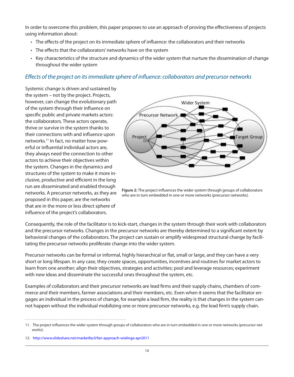In order to overcome this problem, this paper proposes to use an approach of proving the effectiveness of projects using information about:

- • The effects of the project on its immediate sphere of influence: the collaborators and their networks
- The effects that the collaborators' networks have on the system
- • Key characteristics of the structure and dynamics of the wider system that nurture the dissemination of change throughout the wider system

## Effects of the project on its immediate sphere of influence: collaborators and precursor networks

Systemic change is driven and sustained by the system – not by the project. Projects, however, can change the evolutionary path of the system through their influence on specific public and private markets actors: the collaborators. These actors operate, thrive or survive in the system thanks to their connections with and influence upon networks.11 In fact, no matter how powerful or influential individual actors are, they always need the connection to other actors to achieve their objectives within the system. Changes in the dynamics and structures of the system to make it more inclusive, productive and efficient in the long run are disseminated and enabled through networks. A precursor networks, as they are proposed in this paper, are the networks that are in the more or less direct sphere of influence of the project's collaborators.



**Figure 2:** The project influences the wider system through groups of collaborators who are in turn embedded in one or more networks (precursor networks).

Consequently, the role of the facilitator is to kick-start, changes in the system through their work with collaborators and the precursor networks. Changes in the precursor networks are thereby determined to a significant extent by behavioral changes of the collaborators. The project can sustain or amplify widespread structural change by facilitating the precursor networks proliferate change into the wider system.

Precursor networks can be formal or informal, highly hierarchical or flat, small or large, and they can have a very short or long lifespan. In any case, they create spaces, opportunities, incentives and routines for market actors to learn from one another; align their objectives, strategies and activities; pool and leverage resources; experiment with new ideas and disseminate the successful ones throughout the system, etc.

Examples of collaborators and their precursor networks are lead firms and their supply chains, chambers of commerce and their members, farmer associations and their members, etc. Even when it seems that the facilitator engages an individual in the process of change, for example a lead firm, the reality is that changes in the system cannot happen without the individual mobilizing one or more precursor networks, e.g. the lead firm's supply chain.

<sup>11.</sup> The project influences the wider system through groups of collaborators who are in turn embedded in one or more networks (precursor networks).

<sup>12.</sup> http://www.slideshare.net/marketfacil/fan-approach-wielinga-apr2011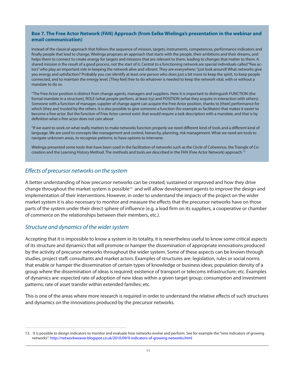#### **Box 7. The Free Actor Network (FAN) Approach (from Eelke Wielinga's presentation in the webinar and email communication)**

Instead of the classical approach that follows the sequence of mission, targets, instruments, competences, performance indicators and finally people that lead to change, Wielinga proposes an approach that starts with the people, their ambitions and their dreams, and helps them to connect to create energy for targets and missions that are relevant to them, leading to changes that matter to them. A shared mission is the result of a good process, not the start of it. Central to a functioning network are special individuals called "free actors" who play an important role in keeping the network alive and vibrant. They are everywhere; "just look around! What networks give you energy and satisfaction? Probably you can identify at least one person who does just a bit more to keep the spirit, to keep people connected, and to maintain the energy level. [They feel] free to do whatever is needed to keep the network vital, with or without a mandate to do so.

"The Free Actor position is distinct from change agents, managers and suppliers. Here it is important to distinguish FUNCTION (the formal mandate in a structure), ROLE (what people perform, at least try) and POSITION (what they acquire in interaction with others). Someone with a function of manager, supplier of change agent can acquire the Free Actor position, thanks to [their] performance for which [they are] trusted by the others. It is also possible to give someone a function (for example as facilitator) that makes it easier to become a free actor. But the function of Free Actor cannot exist: that would require a task description with a mandate, and that is by definition what a free actor does not care about

"If we want to work on what really matters to make networks function properly we need different kind of tools and a different kind of language. We are used to concepts like management and control, hierarchy, planning, risk management. What we need are tools to navigate unknown areas, to recognize patterns, to have options to intervene.

Wielinga presented some tools that have been used in the facilitation of networks such as the Circle of Coherence, the Triangle of Cocreation and the Learning History Method. The methods and tools are described in the FAN (Free Actor Network) approach.<sup>12</sup>

## Effects of precursor networks on the system

A better understanding of how precursor networks can be created, sustained or improved and how they drive change throughout the market system is possible<sup>13</sup> and will allow development agents to improve the design and implementation of their interventions. However, in order to understand the impacts of the project on the wider market system it is also necessary to monitor and measure the effects that the precursor networks have on those parts of the system under their direct sphere of influence (e.g. a lead firm on its suppliers, a cooperative or chamber of commerce on the relationships between their members, etc.).

## Structure and dynamics of the wider system

Accepting that it is impossible to know a system in its totality, it is nevertheless useful to know some critical aspects of its structure and dynamics that will promote or hamper the dissemination of appropriate innovations produced by the activity of precursor networks throughout the wider system. Some of these aspects can be known through studies, project staff, consultants and market actors. Examples of structures are: legislation, rules or social norms that enable or hamper the dissemination of certain types of knowledge or business ideas; population density of a group where the dissemination of ideas is required; existence of transport or telecoms infrastructure; etc. Examples of dynamics are: expected rate of adoption of new ideas within a given target group; consumption and investment patterns; rate of asset transfer within extended families; etc.

This is one of the areas where more research is required in order to understand the relative effects of such structures and dynamics on the innovations produced by the precursor networks.

<sup>13.</sup> It is possible to design indicators to monitor and evaluate how networks evolve and perform. See for example the "nine indicators of growing networks": http://networkweaver.blogspot.co.uk/2010/09/9-indicators-of-growing-networks.html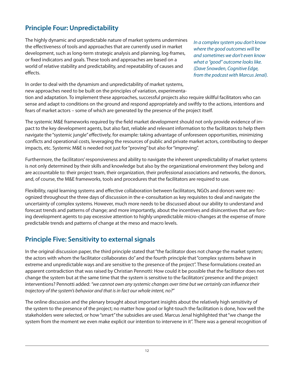# **Principle Four: Unpredictability**

The highly dynamic and unpredictable nature of market systems undermines the effectiveness of tools and approaches that are currently used in market development, such as long-term strategic analysis and planning, log-frames, or fixed indicators and goals. These tools and approaches are based on a world of relative stability and predictability, and repeatability of causes and effects.

In a complex system you don't know where the good outcomes will be and sometimes we don't even know what a "good" outcome looks like. (Dave Snowden, Cognitive Edge, from the podcast with Marcus Jenal).

In order to deal with the dynamism and unpredictability of market systems, new approaches need to be built on the principles of variation, experimenta-

tion and adaptation. To implement these approaches, successful projects also require skillful facilitators who can sense and adapt to conditions on the ground and respond appropriately and swiftly to the actions, intentions and fears of market actors – some of which are generated by the presence of the project itself.

The systemic M&E frameworks required by the field market development should not only provide evidence of impact to the key development agents, but also fast, reliable and relevant information to the facilitators to help them navigate the "systemic jungle" effectively, for example: taking advantage of unforeseen opportunities, minimizing conflicts and operational costs, leveraging the resources of public and private market actors, contributing to deeper impacts, etc. Systemic M&E is needed not just for "proving" but also for "improving".

Furthermore, the facilitators' responsiveness and ability to navigate the inherent unpredictability of market systems is not only determined by their skills and knowledge but also by the organizational environment they belong and are accountable to: their project team, their organization, their professional associations and networks, the donors, and, of course, the M&E frameworks, tools and procedures that the facilitators are required to use.

Flexibility, rapid learning systems and effective collaboration between facilitators, NGOs and donors were recognized throughout the three days of discussion in the e-consultation as key requisites to deal and navigate the uncertainty of complex systems. However, much more needs to be discussed about our ability to understand and forecast trends and patterns of change; and more importantly, about the incentives and disincentives that are forcing development agents to pay excessive attention to highly unpredictable micro-changes at the expense of more predictable trends and patterns of change at the meso and macro levels.

# **Principle Five: Sensitivity to external signals**

In the original discussion paper, the third principle stated that "the facilitator does not change the market system; the actors with whom the facilitator collaborates do" and the fourth principle that "complex systems behave in extreme and unpredictable ways and are sensitive to the presence of the project". These formulations created an apparent contradiction that was raised by Christian Pennotti: How could it be possible that the facilitator does not change the system but at the same time that the system is sensitive to the facilitators' presence and the project interventions? Pennotti added: "we cannot own any systemic changes over time but we certainly can influence their trajectory of the system's behavior and that is in fact our whole intent, no?"

The online discussion and the plenary brought about important insights about the relatively high sensitivity of the system to the presence of the project; no matter how good or light-touch the facilitation is done, how well the stakeholders were selected, or how "smart" the subsidies are used. Marcus Jenal highlighted that "we change the system from the moment we even make explicit our intention to intervene in it". There was a general recognition of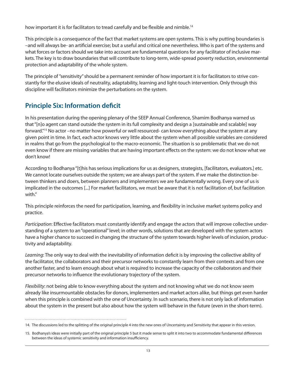how important it is for facilitators to tread carefully and be flexible and nimble.<sup>14</sup>

This principle is a consequence of the fact that market systems are open systems. This is why putting boundaries is –and will always be- an artificial exercise; but a useful and critical one nevertheless. Who is part of the systems and what forces or factors should we take into account are fundamental questions for any facilitator of inclusive markets. The key is to draw boundaries that will contribute to long-term, wide-spread poverty reduction, environmental protection and adaptability of the whole system.

The principle of "sensitivity" should be a permanent reminder of how important it is for facilitators to strive constantly for the elusive ideals of neutrality, adaptability, learning and light-touch intervention. Only through this discipline will facilitators minimize the perturbations on the system.

# **Principle Six: Information deficit**

In his presentation during the opening plenary of the SEEP Annual Conference, Shamim Bodhanya warned us that "[n]o agent can stand outside the system in its full complexity and design a [sustainable and scalable] way forward."<sup>15</sup> No actor –no matter how powerful or well resourced- can know everything about the system at any given point in time. In fact, each actor knows very little about the system when all possible variables are considered in realms that go from the psychological to the macro-economic. The situation is so problematic that we do not even know if there are missing variables that are having important effects on the system: we do not know what we don't know!

According to Bodhanya "[t]his has serious implications for us as designers, strategists, [facilitators, evaluators.] etc. We cannot locate ourselves outside the system; we are always part of the system. If we make the distinction between thinkers and doers, between planners and implementers we are fundamentally wrong. Every one of us is implicated in the outcomes [...] For market facilitators, we must be aware that it is not facilitation of, but facilitation with."

This principle reinforces the need for participation, learning, and flexibility in inclusive market systems policy and practice.

Participation: Effective facilitators must constantly identify and engage the actors that will improve collective understanding of a system to an "operational" level; in other words, solutions that are developed with the system actors have a higher chance to succeed in changing the structure of the system towards higher levels of inclusion, productivity and adaptability.

Learning: The only way to deal with the inevitability of information deficit is by improving the collective ability of the facilitator, the collaborators and their precursor networks to constantly learn from their contexts and from one another faster, and to learn enough about what is required to increase the capacity of the collaborators and their precursor networks to influence the evolutionary trajectory of the system.

Flexibility: not being able to know everything about the system and not knowing what we do not know seem already like insurmountable obstacles for donors, implementers and market actors alike, but things get even harder when this principle is combined with the one of Uncertainty. In such scenario, there is not only lack of information about the system in the present but also about how the system will behave in the future (even in the short-term).

<sup>14.</sup> The discussions led to the splitting of the original principle 4 into the new ones of Uncertainty and Sensitivity that appear in this version.

<sup>15.</sup> Bodhanya's ideas were initially part of the original principle 5 but it made sense to split it into two to accommodate fundamental differences between the ideas of systemic sensitivity and information insufficiency.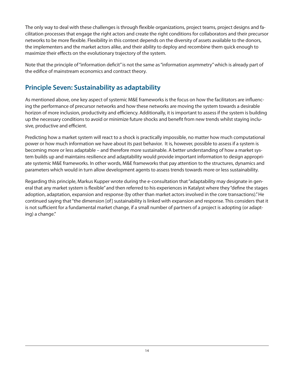The only way to deal with these challenges is through flexible organizations, project teams, project designs and facilitation processes that engage the right actors and create the right conditions for collaborators and their precursor networks to be more flexible. Flexibility in this context depends on the diversity of assets available to the donors, the implementers and the market actors alike, and their ability to deploy and recombine them quick enough to maximize their effects on the evolutionary trajectory of the system.

Note that the principle of "information deficit" is not the same as "information asymmetry" which is already part of the edifice of mainstream economics and contract theory.

# **Principle Seven: Sustainability as adaptability**

As mentioned above, one key aspect of systemic M&E frameworks is the focus on how the facilitators are influencing the performance of precursor networks and how these networks are moving the system towards a desirable horizon of more inclusion, productivity and efficiency. Additionally, it is important to assess if the system is building up the necessary conditions to avoid or minimize future shocks and benefit from new trends whilst staying inclusive, productive and efficient.

Predicting how a market system will react to a shock is practically impossible, no matter how much computational power or how much information we have about its past behavior. It is, however, possible to assess if a system is becoming more or less adaptable – and therefore more sustainable. A better understanding of how a market system builds up and maintains resilience and adaptability would provide important information to design appropriate systemic M&E frameworks. In other words, M&E frameworks that pay attention to the structures, dynamics and parameters which would in turn allow development agents to assess trends towards more or less sustainability.

Regarding this principle, Markus Kupper wrote during the e-consultation that "adaptability may designate in general that any market system is flexible" and then referred to his experiences in Katalyst where they "define the stages adoption, adaptation, expansion and response (by other than market actors involved in the core transactions)." He continued saying that "the dimension [of] sustainability is linked with expansion and response. This considers that it is not sufficient for a fundamental market change, if a small number of partners of a project is adopting (or adapting) a change."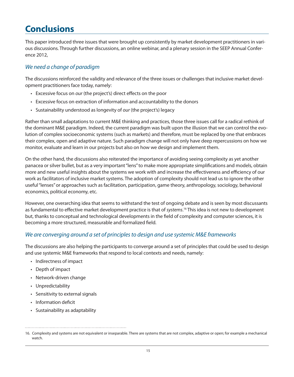# **Conclusions**

This paper introduced three issues that were brought up consistently by market development practitioners in various discussions. Through further discussions, an online webinar, and a plenary session in the SEEP Annual Conference 2012,

## We need a change of paradigm

The discussions reinforced the validity and relevance of the three issues or challenges that inclusive market development practitioners face today, namely:

- Excessive focus on our (the project's) direct effects on the poor
- • Excessive focus on extraction of information and accountability to the donors
- Sustainability understood as longevity of our (the project's) legacy

Rather than small adaptations to current M&E thinking and practices, those three issues call for a radical rethink of the dominant M&E paradigm. Indeed, the current paradigm was built upon the illusion that we can control the evolution of complex socioeconomic systems (such as markets) and therefore, must be replaced by one that embraces their complex, open and adaptive nature. Such paradigm change will not only have deep repercussions on how we monitor, evaluate and learn in our projects but also on how we design and implement them.

On the other hand, the discussions also reiterated the importance of avoiding seeing complexity as yet another panacea or silver bullet, but as a very important "lens" to make more appropriate simplifications and models, obtain more and new useful insights about the systems we work with and increase the effectiveness and efficiency of our work as facilitators of inclusive market systems. The adoption of complexity should not lead us to ignore the other useful "lenses" or approaches such as facilitation, participation, game theory, anthropology, sociology, behavioral economics, political economy, etc.

However, one overarching idea that seems to withstand the test of ongoing debate and is seen by most discussants as fundamental to effective market development practice is that of systems.<sup>16</sup> This idea is not new to development but, thanks to conceptual and technological developments in the field of complexity and computer sciences, it is becoming a more structured, measurable and formalized field.

## We are converging around a set of principles to design and use systemic M&E frameworks

The discussions are also helping the participants to converge around a set of principles that could be used to design and use systemic M&E frameworks that respond to local contexts and needs, namely:

- • Indirectness of impact
- Depth of impact
- • Network-driven change
- • Unpredictability
- Sensitivity to external signals
- • Information deficit
- • Sustainability as adaptability

<sup>16.</sup> Complexity and systems are not equivalent or inseparable. There are systems that are not complex, adaptive or open; for example a mechanical watch.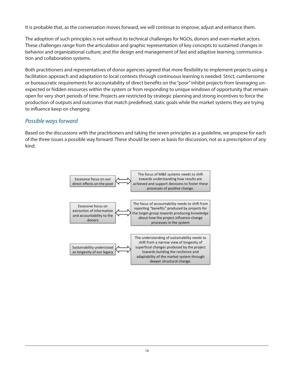It is probable that, as the conversation moves forward, we will continue to improve, adjust and enhance them.

The adoption of such principles is not without its technical challenges for NGOs, donors and even market actors. These challenges range from the articulation and graphic representation of key concepts to sustained changes in behavior and organizational culture; and the design and management of fast and adaptive learning, communication and collaboration systems.

Both practitioners and representatives of donor agencies agreed that more flexibility to implement projects using a facilitation approach and adaptation to local contexts through continuous learning is needed. Strict, cumbersome or bureaucratic requirements for accountability of direct benefits on the "poor" inhibit projects from leveraging unexpected or hidden resources within the system or from responding to unique windows of opportunity that remain open for very short periods of time. Projects are restricted by strategic planning and strong incentives to force the production of outputs and outcomes that match predefined, static goals while the market systems they are trying to influence keep on changing.

## Possible ways forward

Based on the discussions with the practitioners and taking the seven principles as a guideline, we propose for each of the three issues a possible way forward. These should be seen as basis for discussion, not as a prescription of any kind.

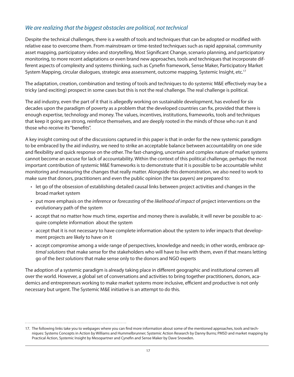## We are realizing that the biggest obstacles are political, not technical

Despite the technical challenges, there is a wealth of tools and techniques that can be adopted or modified with relative ease to overcome them. From mainstream or time-tested techniques such as rapid appraisal, community asset mapping, participatory video and storytelling, Most Significant Change, scenario planning, and participatory monitoring, to more recent adaptations or even brand new approaches, tools and techniques that incorporate different aspects of complexity and systems thinking, such as Cynefin framework, Sense Maker, Participatory Market System Mapping, circular dialogues, strategic area assessment, outcome mapping, Systemic Insight, etc.<sup>17</sup>

The adaptation, creation, combination and testing of tools and techniques to do systemic M&E effectively may be a tricky (and exciting) prospect in some cases but this is not the real challenge. The real challenge is political.

The aid industry, even the part of it that is allegedly working on sustainable development, has evolved for six decades upon the paradigm of poverty as a problem that the developed countries can fix, provided that there is enough expertise, technology and money. The values, incentives, institutions, frameworks, tools and techniques that keep it going are strong, reinforce themselves, and are deeply rooted in the minds of those who run it and those who receive its "benefits".

A key insight coming out of the discussions captured in this paper is that in order for the new systemic paradigm to be embraced by the aid industry, we need to strike an acceptable balance between accountability on one side and flexibility and quick response on the other. The fast-changing, uncertain and complex nature of market systems cannot become an excuse for lack of accountability. Within the context of this political challenge, perhaps the most important contribution of systemic M&E frameworks is to demonstrate that it is possible to be accountable whilst monitoring and measuring the changes that really matter. Alongside this demonstration, we also need to work to make sure that donors, practitioners and even the public opinion (the tax payers) are prepared to:

- • let go of the obsession of establishing detailed causal links between project activities and changes in the broad market system
- put more emphasis on the inference or forecasting of the likelihood of impact of project interventions on the evolutionary path of the system
- • accept that no matter how much time, expertise and money there is available, it will never be possible to acquire complete information about the system
- • accept that it is not necessary to have complete information about the system to infer impacts that development projects are likely to have on it
- accept compromise among a wide range of perspectives, knowledge and needs; in other words, embrace optimal solutions that make sense for the stakeholders who will have to live with them, even if that means letting go of the best solutions that make sense only to the donors and NGO experts

The adoption of a systemic paradigm is already taking place in different geographic and institutional corners all over the world. However, a global set of conversations and activities to bring together practitioners, donors, academics and entrepreneurs working to make market systems more inclusive, efficient and productive is not only necessary but urgent. The Systemic M&E initiative is an attempt to do this.

<sup>17.</sup> The following links take you to webpages where you can find more information about some of the mentioned approaches, tools and techniques: Systems Concepts in Action by Williams and Hummelbrunner; Systemic Action Research by Danny Burns; PMSD and market mapping by Practical Action, Systemic Insight by Mesopartner and Cynefin and Sense Maker by Dave Snowden.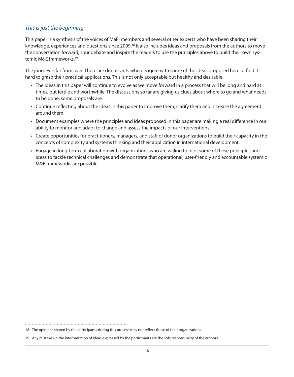## This is just the beginning

This paper is a synthesis of the voices of MaFI members and several other experts who have been sharing their knowledge, experiences and questions since 2009.<sup>18</sup> It also includes ideas and proposals from the authors to move the conversation forward, spur debate and inspire the readers to use the principles above to build their own systemic M&E frameworks.<sup>19</sup>

The journey is far from over. There are discussants who disagree with some of the ideas proposed here or find it hard to grasp their practical applications. This is not only acceptable but healthy and desirable.

- • The ideas in this paper will continue to evolve as we move forward in a process that will be long and hard at times, but fertile and worthwhile. The discussions so far are giving us clues about where to go and what needs to be done; some proposals are:
- • Continue reflecting about the ideas in this paper to improve them, clarify them and increase the agreement around them.
- • Document examples where the principles and ideas proposed in this paper are making a real difference in our ability to monitor and adapt to change and assess the impacts of our interventions.
- • Create opportunities for practitioners, managers, and staff of donor organizations to build their capacity in the concepts of complexity and systems thinking and their application in international development.
- Engage in long-term collaboration with organizations who are willing to pilot some of these principles and ideas to tackle technical challenges and demonstrate that operational, user-friendly and accountable systemic M&E frameworks are possible.

<sup>18.</sup> The opinions shared by the participants during this process may not reflect those of their organizations.

<sup>19.</sup> Any mistakes in the interpretation of ideas expressed by the participants are the sole responsibility of the authors.